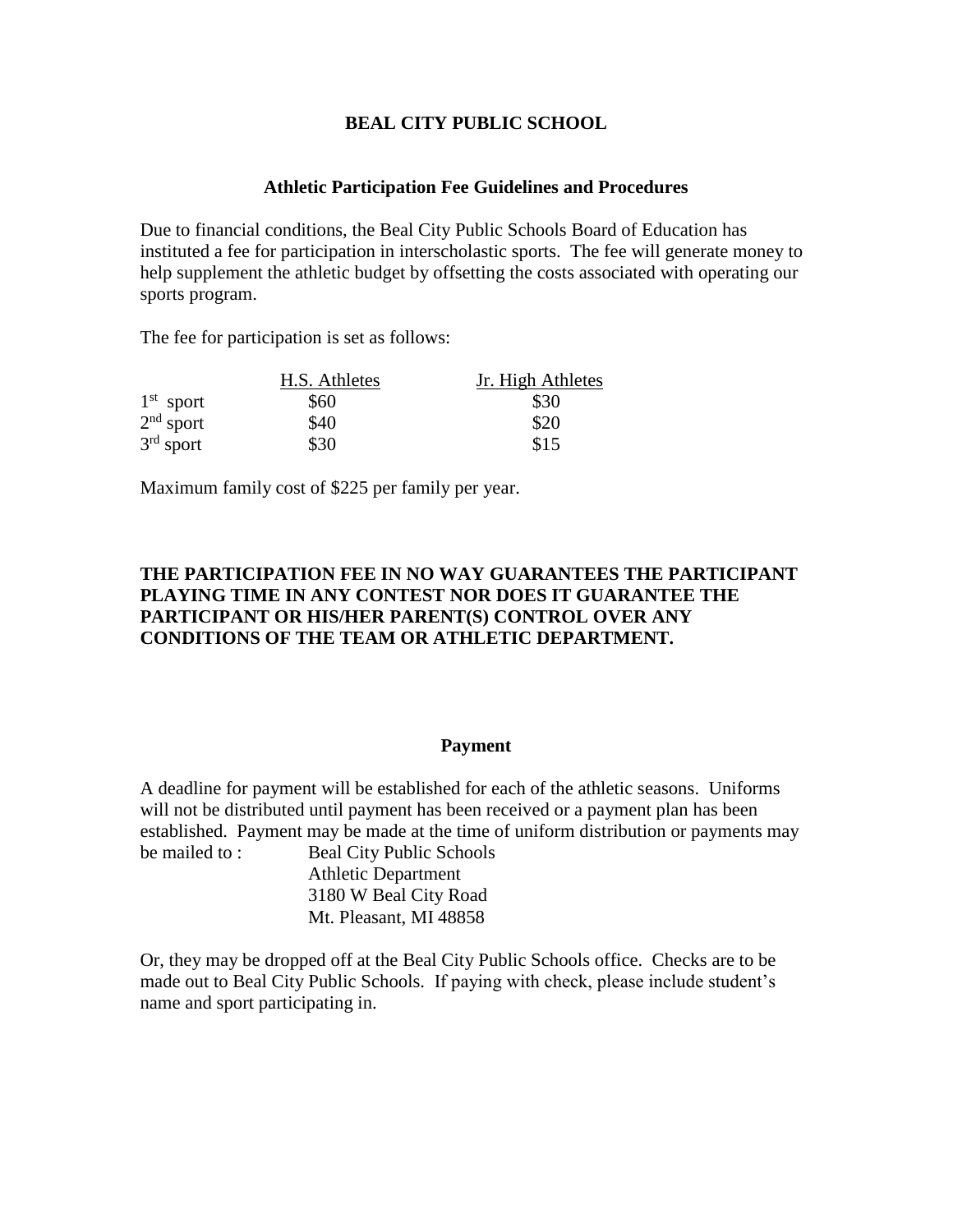## **BEAL CITY PUBLIC SCHOOL**

### **Athletic Participation Fee Guidelines and Procedures**

Due to financial conditions, the Beal City Public Schools Board of Education has instituted a fee for participation in interscholastic sports. The fee will generate money to help supplement the athletic budget by offsetting the costs associated with operating our sports program.

The fee for participation is set as follows:

|             | H.S. Athletes | Jr. High Athletes |  |
|-------------|---------------|-------------------|--|
| $1st$ sport | \$60          | \$30              |  |
| $2nd$ sport | \$40          | \$20              |  |
| $3rd$ sport | \$30          | \$15              |  |

Maximum family cost of \$225 per family per year.

## **THE PARTICIPATION FEE IN NO WAY GUARANTEES THE PARTICIPANT PLAYING TIME IN ANY CONTEST NOR DOES IT GUARANTEE THE PARTICIPANT OR HIS/HER PARENT(S) CONTROL OVER ANY CONDITIONS OF THE TEAM OR ATHLETIC DEPARTMENT.**

#### **Payment**

A deadline for payment will be established for each of the athletic seasons. Uniforms will not be distributed until payment has been received or a payment plan has been established. Payment may be made at the time of uniform distribution or payments may be mailed to : Beal City Public Schools Athletic Department 3180 W Beal City Road

Mt. Pleasant, MI 48858

Or, they may be dropped off at the Beal City Public Schools office. Checks are to be made out to Beal City Public Schools. If paying with check, please include student's name and sport participating in.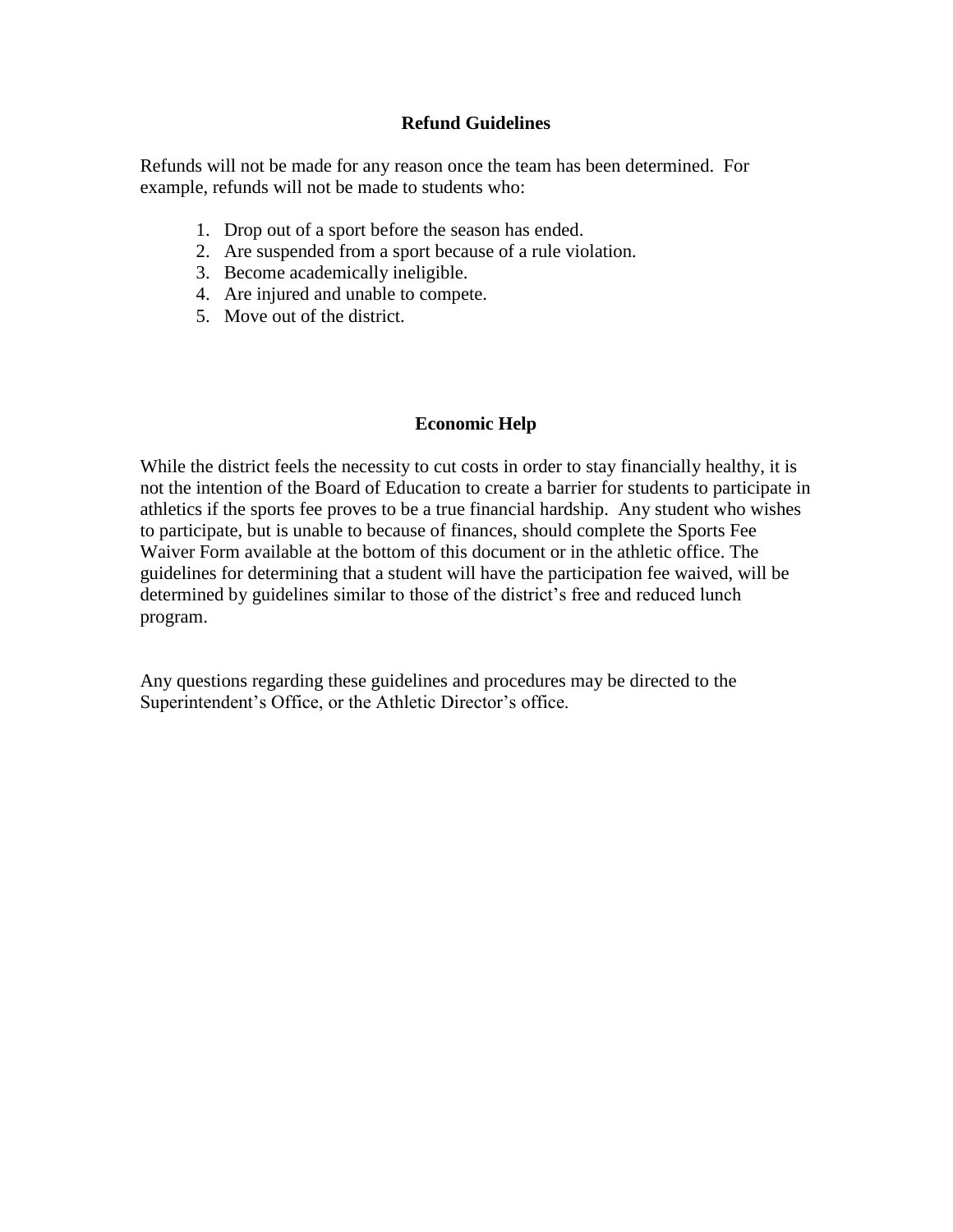## **Refund Guidelines**

Refunds will not be made for any reason once the team has been determined. For example, refunds will not be made to students who:

- 1. Drop out of a sport before the season has ended.
- 2. Are suspended from a sport because of a rule violation.
- 3. Become academically ineligible.
- 4. Are injured and unable to compete.
- 5. Move out of the district.

## **Economic Help**

While the district feels the necessity to cut costs in order to stay financially healthy, it is not the intention of the Board of Education to create a barrier for students to participate in athletics if the sports fee proves to be a true financial hardship. Any student who wishes to participate, but is unable to because of finances, should complete the Sports Fee Waiver Form available at the bottom of this document or in the athletic office. The guidelines for determining that a student will have the participation fee waived, will be determined by guidelines similar to those of the district's free and reduced lunch program.

Any questions regarding these guidelines and procedures may be directed to the Superintendent's Office, or the Athletic Director's office.